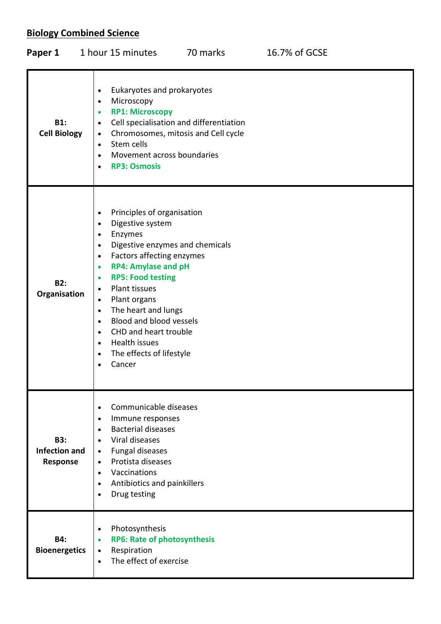# **Biology Combined Science**

| Paper 1                                               | 1 hour 15 minutes                                                                                                                                                                                                                                                                                                                                                                                                                                                                                                                                   | 70 marks                                                                       | 16.7% of GCSE |
|-------------------------------------------------------|-----------------------------------------------------------------------------------------------------------------------------------------------------------------------------------------------------------------------------------------------------------------------------------------------------------------------------------------------------------------------------------------------------------------------------------------------------------------------------------------------------------------------------------------------------|--------------------------------------------------------------------------------|---------------|
| <b>B1:</b><br><b>Cell Biology</b>                     | Eukaryotes and prokaryotes<br>$\bullet$<br>Microscopy<br>$\bullet$<br><b>RP1: Microscopy</b><br>$\bullet$<br>$\bullet$<br>$\bullet$<br>Stem cells<br>$\bullet$<br>Movement across boundaries<br>$\bullet$<br><b>RP3: Osmosis</b><br>$\bullet$                                                                                                                                                                                                                                                                                                       | Cell specialisation and differentiation<br>Chromosomes, mitosis and Cell cycle |               |
| <b>B2:</b><br>Organisation                            | Principles of organisation<br>$\bullet$<br>Digestive system<br>$\bullet$<br>Enzymes<br>$\bullet$<br>Digestive enzymes and chemicals<br>$\bullet$<br>Factors affecting enzymes<br>$\bullet$<br><b>RP4: Amylase and pH</b><br>$\bullet$<br><b>RP5: Food testing</b><br>$\bullet$<br><b>Plant tissues</b><br>$\bullet$<br>Plant organs<br>$\bullet$<br>The heart and lungs<br>$\bullet$<br>Blood and blood vessels<br>$\bullet$<br>CHD and heart trouble<br>$\bullet$<br>Health issues<br>$\bullet$<br>The effects of lifestyle<br>$\bullet$<br>Cancer |                                                                                |               |
| <b>B3:</b><br><b>Infection and</b><br><b>Response</b> | Communicable diseases<br>$\bullet$<br>Immune responses<br>$\bullet$<br><b>Bacterial diseases</b><br>$\bullet$<br>Viral diseases<br>$\bullet$<br>Fungal diseases<br>$\bullet$<br>Protista diseases<br>$\bullet$<br>Vaccinations<br>$\bullet$<br>Antibiotics and painkillers<br>$\bullet$<br>Drug testing<br>$\bullet$                                                                                                                                                                                                                                |                                                                                |               |
| <b>B4:</b><br><b>Bioenergetics</b>                    | Photosynthesis<br>$\bullet$<br><b>RP6: Rate of photosynthesis</b><br>$\bullet$<br>Respiration<br>$\bullet$<br>The effect of exercise<br>$\bullet$                                                                                                                                                                                                                                                                                                                                                                                                   |                                                                                |               |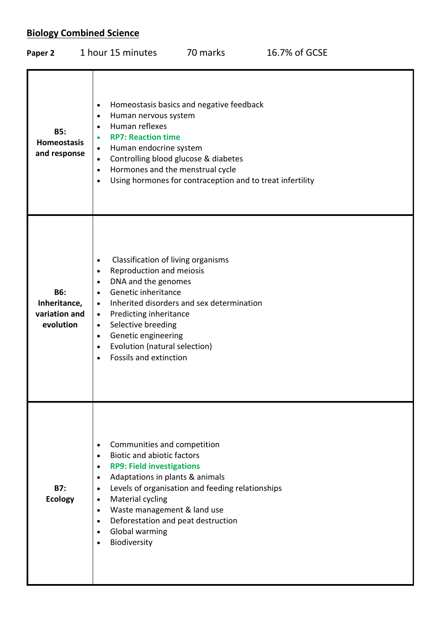# **Biology Combined Science**

| Paper 2                                                  | 1 hour 15 minutes                                                                                                                                                                                                                                                                                                                                                                              | 70 marks                                                                                              | 16.7% of GCSE |
|----------------------------------------------------------|------------------------------------------------------------------------------------------------------------------------------------------------------------------------------------------------------------------------------------------------------------------------------------------------------------------------------------------------------------------------------------------------|-------------------------------------------------------------------------------------------------------|---------------|
| <b>B5:</b><br><b>Homeostasis</b><br>and response         | $\bullet$<br>Human nervous system<br>$\bullet$<br>Human reflexes<br>$\bullet$<br><b>RP7: Reaction time</b><br>$\bullet$<br>Human endocrine system<br>$\bullet$<br>Controlling blood glucose & diabetes<br>$\bullet$<br>Hormones and the menstrual cycle<br>$\bullet$<br>$\bullet$                                                                                                              | Homeostasis basics and negative feedback<br>Using hormones for contraception and to treat infertility |               |
| <b>B6:</b><br>Inheritance,<br>variation and<br>evolution | Classification of living organisms<br>$\bullet$<br>Reproduction and meiosis<br>$\bullet$<br>DNA and the genomes<br>$\bullet$<br>Genetic inheritance<br>$\bullet$<br>$\bullet$<br>Predicting inheritance<br>$\bullet$<br>Selective breeding<br>$\bullet$<br>Genetic engineering<br>$\bullet$<br>Evolution (natural selection)<br>$\bullet$<br>Fossils and extinction<br>$\bullet$               | Inherited disorders and sex determination                                                             |               |
| <b>B7:</b><br><b>Ecology</b>                             | Communities and competition<br>$\bullet$<br><b>Biotic and abiotic factors</b><br>$\bullet$<br><b>RP9: Field investigations</b><br>$\bullet$<br>Adaptations in plants & animals<br>$\bullet$<br>$\bullet$<br>Material cycling<br>$\bullet$<br>Waste management & land use<br>$\bullet$<br>Deforestation and peat destruction<br>$\bullet$<br><b>Global warming</b><br>$\bullet$<br>Biodiversity | Levels of organisation and feeding relationships                                                      |               |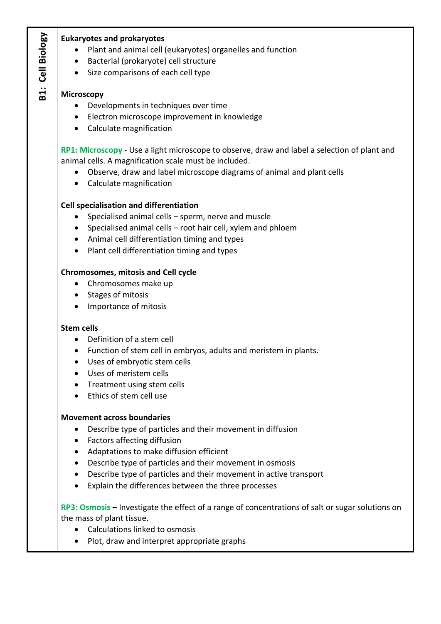**B1: Cell Biology B1: Cell Biology**

#### **Eukaryotes and prokaryotes**

- Plant and animal cell (eukaryotes) organelles and function
- Bacterial (prokaryote) cell structure
- Size comparisons of each cell type

#### **Microscopy**

- Developments in techniques over time
- Electron microscope improvement in knowledge
- Calculate magnification

**RP1: Microscopy** - Use a light microscope to observe, draw and label a selection of plant and animal cells. A magnification scale must be included.

- Observe, draw and label microscope diagrams of animal and plant cells
- Calculate magnification

### **Cell specialisation and differentiation**

- Specialised animal cells sperm, nerve and muscle
- Specialised animal cells root hair cell, xylem and phloem
- Animal cell differentiation timing and types
- Plant cell differentiation timing and types

#### **Chromosomes, mitosis and Cell cycle**

- Chromosomes make up
- Stages of mitosis
- Importance of mitosis

#### **Stem cells**

- Definition of a stem cell
- Function of stem cell in embryos, adults and meristem in plants.
- Uses of embryotic stem cells
- Uses of meristem cells
- Treatment using stem cells
- Ethics of stem cell use

#### **Movement across boundaries**

- Describe type of particles and their movement in diffusion
- Factors affecting diffusion
- Adaptations to make diffusion efficient
- Describe type of particles and their movement in osmosis
- Describe type of particles and their movement in active transport
- Explain the differences between the three processes

**RP3: Osmosis –** Investigate the effect of a range of concentrations of salt or sugar solutions on the mass of plant tissue.

- Calculations linked to osmosis
- Plot, draw and interpret appropriate graphs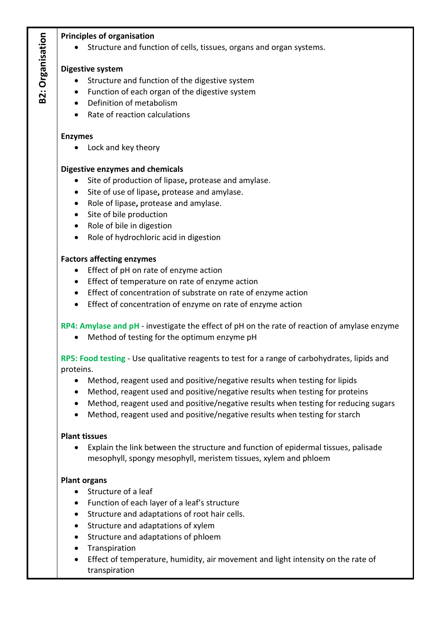### **Principles of organisation**

• Structure and function of cells, tissues, organs and organ systems.

#### **Digestive system**

- Structure and function of the digestive system
- Function of each organ of the digestive system
- Definition of metabolism
- Rate of reaction calculations

#### **Enzymes**

• Lock and key theory

### **Digestive enzymes and chemicals**

- Site of production of lipase**,** protease and amylase.
- Site of use of lipase**,** protease and amylase.
- Role of lipase**,** protease and amylase.
- Site of bile production
- Role of bile in digestion
- Role of hydrochloric acid in digestion

#### **Factors affecting enzymes**

- Effect of pH on rate of enzyme action
- Effect of temperature on rate of enzyme action
- Effect of concentration of substrate on rate of enzyme action
- Effect of concentration of enzyme on rate of enzyme action

#### **RP4: Amylase and pH** - investigate the effect of pH on the rate of reaction of amylase enzyme

Method of testing for the optimum enzyme pH

**RP5: Food testing** - Use qualitative reagents to test for a range of carbohydrates, lipids and proteins.

- Method, reagent used and positive/negative results when testing for lipids
- Method, reagent used and positive/negative results when testing for proteins
- Method, reagent used and positive/negative results when testing for reducing sugars
- Method, reagent used and positive/negative results when testing for starch

#### **Plant tissues**

 Explain the link between the structure and function of epidermal tissues, palisade mesophyll, spongy mesophyll, meristem tissues, xylem and phloem

#### **Plant organs**

- Structure of a leaf
- Function of each layer of a leaf's structure
- Structure and adaptations of root hair cells.
- Structure and adaptations of xylem
- Structure and adaptations of phloem
- Transpiration
- Effect of temperature, humidity, air movement and light intensity on the rate of transpiration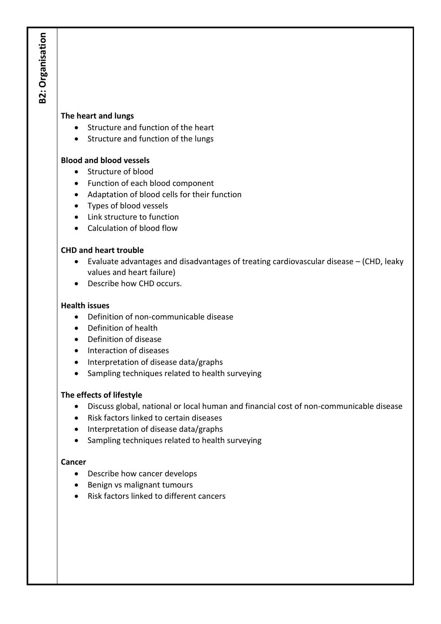#### **The heart and lungs**

- Structure and function of the heart
- Structure and function of the lungs

## **Blood and blood vessels**

- Structure of blood
- Function of each blood component
- Adaptation of blood cells for their function
- Types of blood vessels
- Link structure to function
- Calculation of blood flow

### **CHD and heart trouble**

- Evaluate advantages and disadvantages of treating cardiovascular disease (CHD, leaky values and heart failure)
- Describe how CHD occurs.

### **Health issues**

- Definition of non-communicable disease
- Definition of health
- Definition of disease
- Interaction of diseases
- Interpretation of disease data/graphs
- Sampling techniques related to health surveying

## **The effects of lifestyle**

- Discuss global, national or local human and financial cost of non-communicable disease
- Risk factors linked to certain diseases
- Interpretation of disease data/graphs
- Sampling techniques related to health surveying

#### **Cancer**

- Describe how cancer develops
- Benign vs malignant tumours
- Risk factors linked to different cancers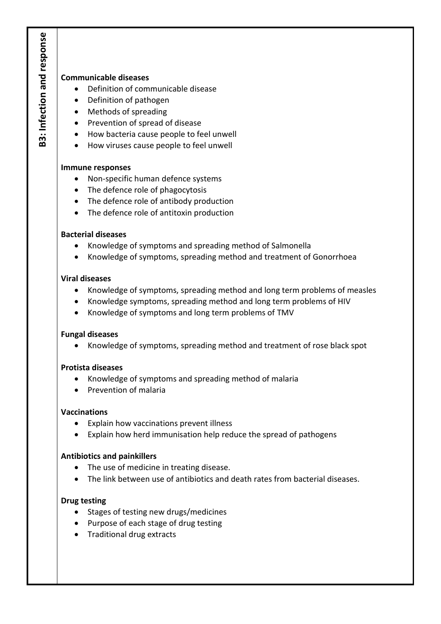### **Communicable diseases**

- Definition of communicable disease
- Definition of pathogen
- Methods of spreading
- Prevention of spread of disease
- How bacteria cause people to feel unwell
- How viruses cause people to feel unwell

#### **Immune responses**

- Non-specific human defence systems
- The defence role of phagocytosis
- The defence role of antibody production
- The defence role of antitoxin production

#### **Bacterial diseases**

- Knowledge of symptoms and spreading method of Salmonella
- Knowledge of symptoms, spreading method and treatment of Gonorrhoea

#### **Viral diseases**

- Knowledge of symptoms, spreading method and long term problems of measles
- Knowledge symptoms, spreading method and long term problems of HIV
- Knowledge of symptoms and long term problems of TMV

#### **Fungal diseases**

Knowledge of symptoms, spreading method and treatment of rose black spot

#### **Protista diseases**

- Knowledge of symptoms and spreading method of malaria
- Prevention of malaria

#### **Vaccinations**

- Explain how vaccinations prevent illness
- Explain how herd immunisation help reduce the spread of pathogens

#### **Antibiotics and painkillers**

- The use of medicine in treating disease.
- The link between use of antibiotics and death rates from bacterial diseases.

#### **Drug testing**

- Stages of testing new drugs/medicines
- Purpose of each stage of drug testing
- Traditional drug extracts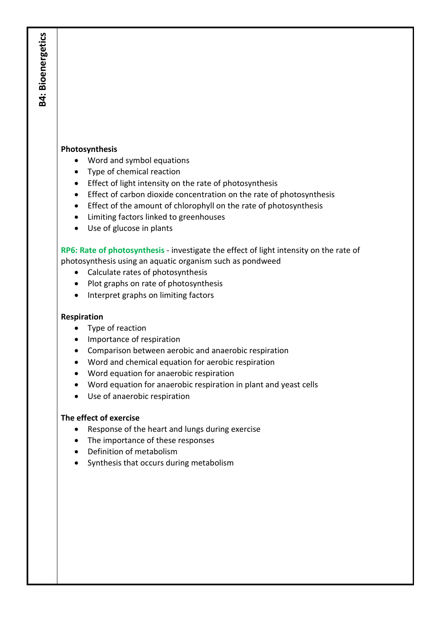### **Photosynthesis**

**B4: Bioenergetics**

**B4: Bioenergetics** 

- Word and symbol equations
- Type of chemical reaction
- Effect of light intensity on the rate of photosynthesis
- **Effect of carbon dioxide concentration on the rate of photosynthesis**
- Effect of the amount of chlorophyll on the rate of photosynthesis
- Limiting factors linked to greenhouses
- Use of glucose in plants

**RP6: Rate of photosynthesis** - investigate the effect of light intensity on the rate of photosynthesis using an aquatic organism such as pondweed

- Calculate rates of photosynthesis
- Plot graphs on rate of photosynthesis
- Interpret graphs on limiting factors

#### **Respiration**

- Type of reaction
- Importance of respiration
- Comparison between aerobic and anaerobic respiration
- Word and chemical equation for aerobic respiration
- Word equation for anaerobic respiration
- Word equation for anaerobic respiration in plant and yeast cells
- Use of anaerobic respiration

#### **The effect of exercise**

- Response of the heart and lungs during exercise
- The importance of these responses
- Definition of metabolism
- Synthesis that occurs during metabolism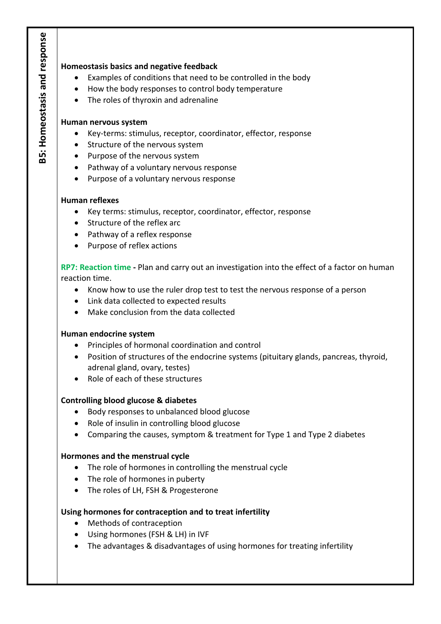### **Homeostasis basics and negative feedback**

- Examples of conditions that need to be controlled in the body
- How the body responses to control body temperature
- The roles of thyroxin and adrenaline

#### **Human nervous system**

- Key-terms: stimulus, receptor, coordinator, effector, response
- Structure of the nervous system
- Purpose of the nervous system
- Pathway of a voluntary nervous response
- Purpose of a voluntary nervous response

#### **Human reflexes**

- Key terms: stimulus, receptor, coordinator, effector, response
- Structure of the reflex arc
- Pathway of a reflex response
- Purpose of reflex actions

**RP7: Reaction time -** Plan and carry out an investigation into the effect of a factor on human reaction time.

- Know how to use the ruler drop test to test the nervous response of a person
- Link data collected to expected results
- Make conclusion from the data collected

#### **Human endocrine system**

- Principles of hormonal coordination and control
- Position of structures of the endocrine systems (pituitary glands, pancreas, thyroid, adrenal gland, ovary, testes)
- Role of each of these structures

#### **Controlling blood glucose & diabetes**

- Body responses to unbalanced blood glucose
- Role of insulin in controlling blood glucose
- Comparing the causes, symptom & treatment for Type 1 and Type 2 diabetes

#### **Hormones and the menstrual cycle**

- The role of hormones in controlling the menstrual cycle
- The role of hormones in puberty
- The roles of LH, FSH & Progesterone

#### **Using hormones for contraception and to treat infertility**

- Methods of contraception
- Using hormones (FSH & LH) in IVF
- The advantages & disadvantages of using hormones for treating infertility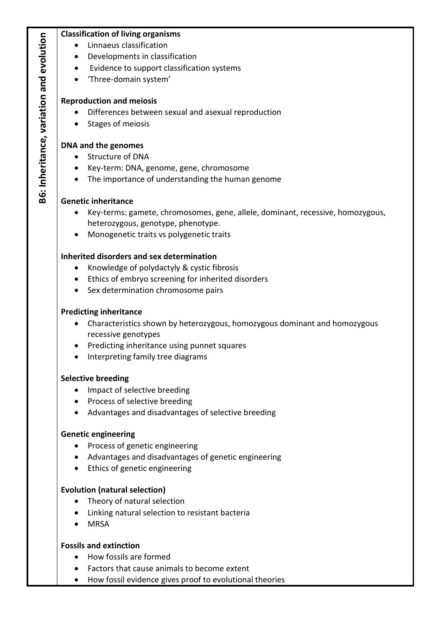## **Classification of living organisms**

- Linnaeus classification
- Developments in classification
- Evidence to support classification systems
- 'Three-domain system'

## **Reproduction and meiosis**

- Differences between sexual and asexual reproduction
- Stages of meiosis

## **DNA and the genomes**

- Structure of DNA
- Key-term: DNA, genome, gene, chromosome
- The importance of understanding the human genome

## **Genetic inheritance**

- Key-terms: gamete, chromosomes, gene, allele, dominant, recessive, homozygous, heterozygous, genotype, phenotype.
- Monogenetic traits vs polygenetic traits

## **Inherited disorders and sex determination**

- Knowledge of polydactyly & cystic fibrosis
- Ethics of embryo screening for inherited disorders
- Sex determination chromosome pairs

## **Predicting inheritance**

- Characteristics shown by heterozygous, homozygous dominant and homozygous recessive genotypes
- Predicting inheritance using punnet squares
- Interpreting family tree diagrams

## **Selective breeding**

- Impact of selective breeding
- Process of selective breeding
- Advantages and disadvantages of selective breeding

## **Genetic engineering**

- Process of genetic engineering
- Advantages and disadvantages of genetic engineering
- Ethics of genetic engineering

## **Evolution (natural selection)**

- Theory of natural selection
- Linking natural selection to resistant bacteria
- MRSA

## **Fossils and extinction**

- How fossils are formed
- Factors that cause animals to become extent
- How fossil evidence gives proof to evolutional theories